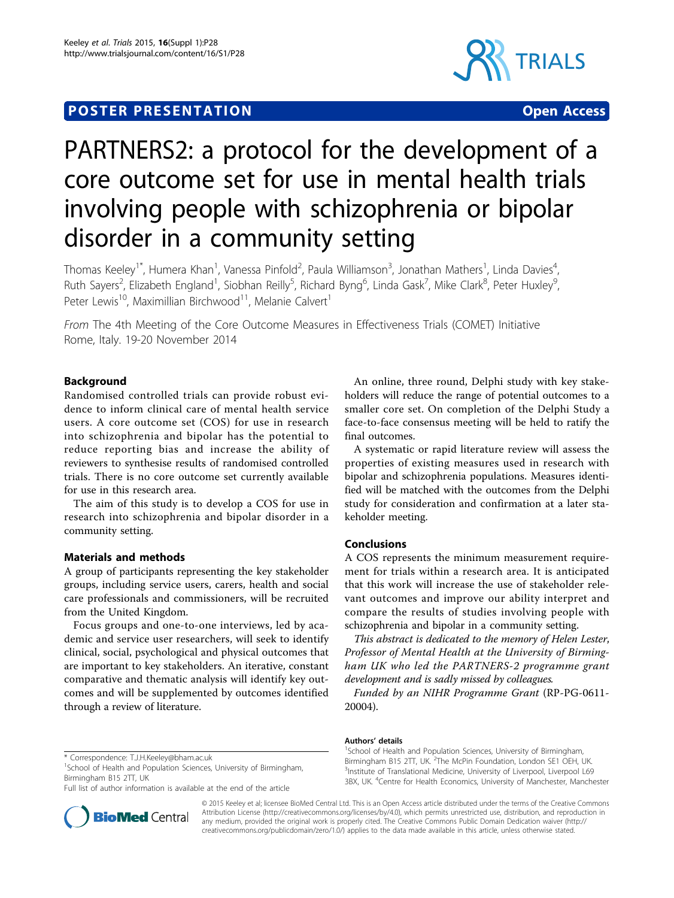# **POSTER PRESENTATION CONSUMING THE SERVICE SERVICE SERVICES**



# PARTNERS2: a protocol for the development of a core outcome set for use in mental health trials involving people with schizophrenia or bipolar disorder in a community setting

Thomas Keeley<sup>1\*</sup>, Humera Khan<sup>1</sup>, Vanessa Pinfold<sup>2</sup>, Paula Williamson<sup>3</sup>, Jonathan Mathers<sup>1</sup>, Linda Davies<sup>4</sup> , Ruth Sayers<sup>2</sup>, Elizabeth England<sup>1</sup>, Siobhan Reilly<sup>5</sup>, Richard Byng<sup>6</sup>, Linda Gask<sup>7</sup>, Mike Clark<sup>8</sup>, Peter Huxley<sup>s</sup> , Peter Lewis<sup>10</sup>, Maximillian Birchwood<sup>11</sup>, Melanie Calvert<sup>1</sup>

From The 4th Meeting of the Core Outcome Measures in Effectiveness Trials (COMET) Initiative Rome, Italy. 19-20 November 2014

# Background

Randomised controlled trials can provide robust evidence to inform clinical care of mental health service users. A core outcome set (COS) for use in research into schizophrenia and bipolar has the potential to reduce reporting bias and increase the ability of reviewers to synthesise results of randomised controlled trials. There is no core outcome set currently available for use in this research area.

The aim of this study is to develop a COS for use in research into schizophrenia and bipolar disorder in a community setting.

## Materials and methods

A group of participants representing the key stakeholder groups, including service users, carers, health and social care professionals and commissioners, will be recruited from the United Kingdom.

Focus groups and one-to-one interviews, led by academic and service user researchers, will seek to identify clinical, social, psychological and physical outcomes that are important to key stakeholders. An iterative, constant comparative and thematic analysis will identify key outcomes and will be supplemented by outcomes identified through a review of literature.

\* Correspondence: [T.J.H.Keeley@bham.ac.uk](mailto:T.J.H.Keeley@bham.ac.uk)

<sup>1</sup>School of Health and Population Sciences, University of Birmingham, Birmingham B15 2TT, UK

Full list of author information is available at the end of the article



An online, three round, Delphi study with key stakeholders will reduce the range of potential outcomes to a smaller core set. On completion of the Delphi Study a face-to-face consensus meeting will be held to ratify the final outcomes.

A systematic or rapid literature review will assess the properties of existing measures used in research with bipolar and schizophrenia populations. Measures identified will be matched with the outcomes from the Delphi study for consideration and confirmation at a later stakeholder meeting.

#### Conclusions

A COS represents the minimum measurement requirement for trials within a research area. It is anticipated that this work will increase the use of stakeholder relevant outcomes and improve our ability interpret and compare the results of studies involving people with schizophrenia and bipolar in a community setting.

This abstract is dedicated to the memory of Helen Lester, Professor of Mental Health at the University of Birmingham UK who led the PARTNERS-2 programme grant development and is sadly missed by colleagues.

Funded by an NIHR Programme Grant (RP-PG-0611- 20004).

#### Authors' details <sup>1</sup>

<sup>1</sup>School of Health and Population Sciences, University of Birmingham, Birmingham B15 2TT, UK. <sup>2</sup>The McPin Foundation, London SE1 OEH, UK.<br><sup>3</sup>Institute of Translational Medicine, University of Liverpool, Liverpool, L6 <sup>3</sup>Institute of Translational Medicine, University of Liverpool, Liverpool L69 3BX, UK. <sup>4</sup> Centre for Health Economics, University of Manchester, Manchester

© 2015 Keeley et al; licensee BioMed Central Ltd. This is an Open Access article distributed under the terms of the Creative Commons Attribution License [\(http://creativecommons.org/licenses/by/4.0](http://creativecommons.org/licenses/by/4.0)), which permits unrestricted use, distribution, and reproduction in any medium, provided the original work is properly cited. The Creative Commons Public Domain Dedication waiver [\(http://](http://creativecommons.org/publicdomain/zero/1.0/) [creativecommons.org/publicdomain/zero/1.0/](http://creativecommons.org/publicdomain/zero/1.0/)) applies to the data made available in this article, unless otherwise stated.